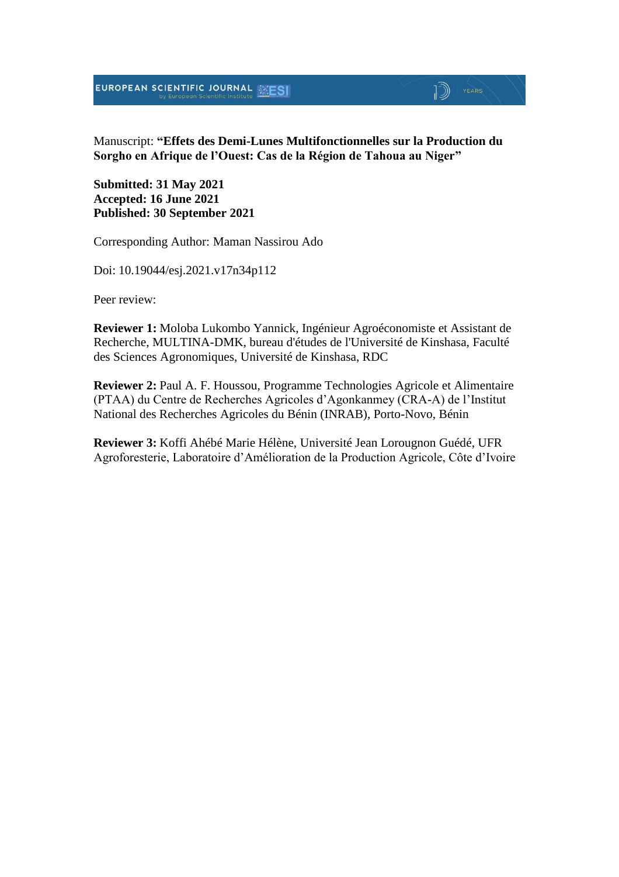EUROPEAN SCIENTIFIC JOURNAL MESI

## $\mathbb{D}$   $\mathbb{P}$   $\mathbb{P}$   $\mathbb{P}$   $\mathbb{P}$   $\mathbb{P}$   $\mathbb{P}$   $\mathbb{P}$   $\mathbb{P}$   $\mathbb{P}$   $\mathbb{P}$   $\mathbb{P}$   $\mathbb{P}$   $\mathbb{P}$   $\mathbb{P}$   $\mathbb{P}$   $\mathbb{P}$   $\mathbb{P}$   $\mathbb{P}$   $\mathbb{P}$   $\mathbb{P}$   $\mathbb{P}$   $\mathbb{P}$   $\mathbb{P}$   $\mathbb{$

Manuscript: **"Effets des Demi-Lunes Multifonctionnelles sur la Production du Sorgho en Afrique de l'Ouest: Cas de la Région de Tahoua au Niger"**

**Submitted: 31 May 2021 Accepted: 16 June 2021 Published: 30 September 2021**

Corresponding Author: Maman Nassirou Ado

Doi: 10.19044/esj.2021.v17n34p112

Peer review:

**Reviewer 1:** Moloba Lukombo Yannick, Ingénieur Agroéconomiste et Assistant de Recherche, MULTINA-DMK, bureau d'études de l'Université de Kinshasa, Faculté des Sciences Agronomiques, Université de Kinshasa, RDC

**Reviewer 2:** Paul A. F. Houssou, Programme Technologies Agricole et Alimentaire (PTAA) du Centre de Recherches Agricoles d'Agonkanmey (CRA-A) de l'Institut National des Recherches Agricoles du Bénin (INRAB), Porto-Novo, Bénin

**Reviewer 3:** Koffi Ahébé Marie Hélène, Université Jean Lorougnon Guédé, UFR Agroforesterie, Laboratoire d'Amélioration de la Production Agricole, Côte d'Ivoire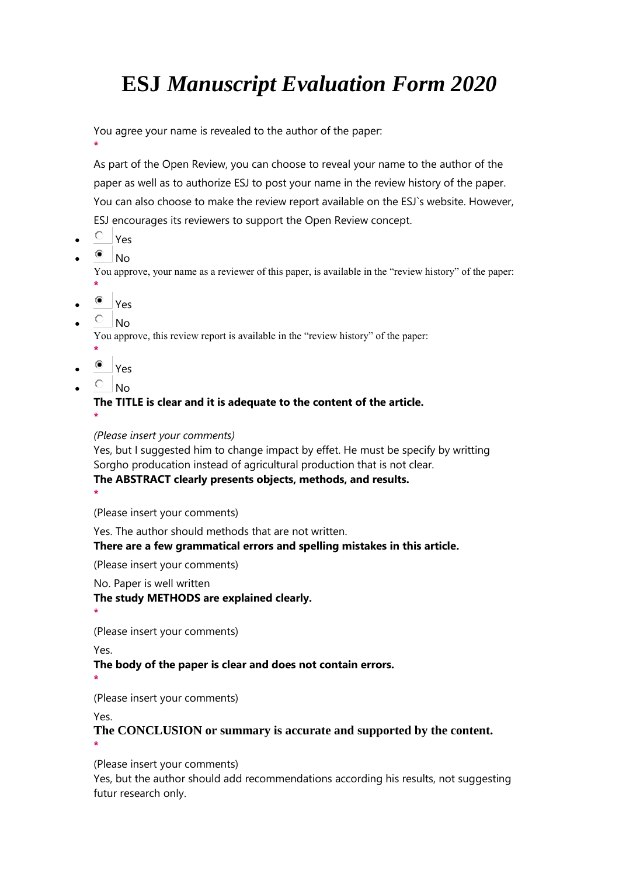## **ESJ** *Manuscript Evaluation Form 2020*

You agree your name is revealed to the author of the paper:

As part of the Open Review, you can choose to reveal your name to the author of the paper as well as to authorize ESJ to post your name in the review history of the paper. You can also choose to make the review report available on the ESJ`s website. However, ESJ encourages its reviewers to support the Open Review concept.

 $\circ$  Yes

**\***

 $^{\circ}$  No

You approve, your name as a reviewer of this paper, is available in the "review history" of the paper: **\***

- <sup>■</sup> Yes
- $\overline{O}$  No

You approve, this review report is available in the "review history" of the paper:

- **\*** <sup>■</sup> Yes
- $\overline{\phantom{a}}$  No

**\***

## **The TITLE is clear and it is adequate to the content of the article.**

*(Please insert your comments)*

Yes, but I suggested him to change impact by effet. He must be specify by writting Sorgho producation instead of agricultural production that is not clear.

#### **The ABSTRACT clearly presents objects, methods, and results.**

**\***

(Please insert your comments)

Yes. The author should methods that are not written.

## **There are a few grammatical errors and spelling mistakes in this article.**

(Please insert your comments)

No. Paper is well written

## **The study METHODS are explained clearly.**

**\***

(Please insert your comments)

Yes.

## **The body of the paper is clear and does not contain errors.**

**\***

(Please insert your comments)

Yes.

**The CONCLUSION or summary is accurate and supported by the content. \***

(Please insert your comments)

Yes, but the author should add recommendations according his results, not suggesting futur research only.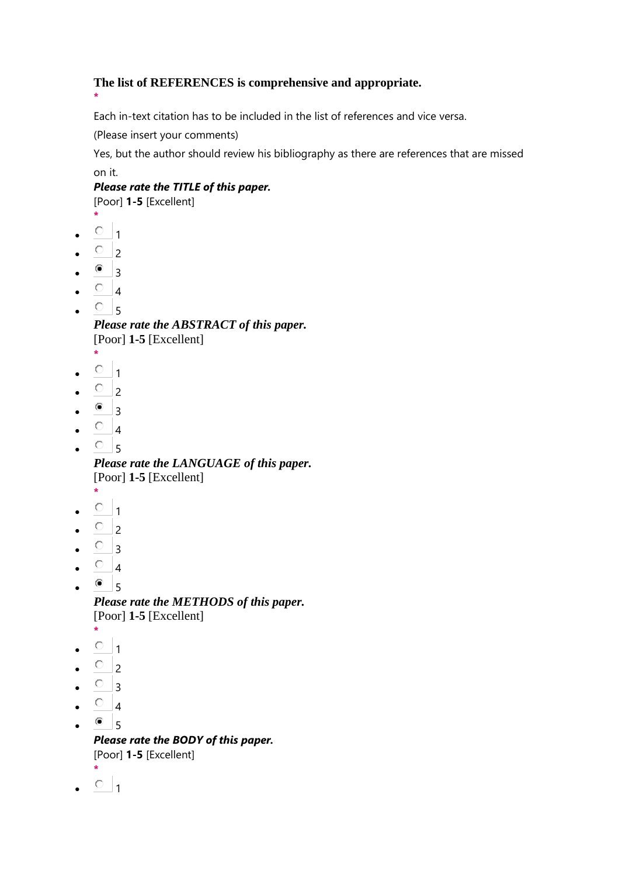## **The list of REFERENCES is comprehensive and appropriate.**

Each in-text citation has to be included in the list of references and vice versa.

(Please insert your comments)

Yes, but the author should review his bibliography as there are references that are missed on it.

*Please rate the TITLE of this paper.*

[Poor] **1-5** [Excellent]

**\***  $\circ$  1

**\***

- 
- $\overline{O}$  2
- $\bullet$  3
- $\begin{array}{cc} \circ & 4 \end{array}$
- $^{\circ}5$

*Please rate the ABSTRACT of this paper.* [Poor] **1-5** [Excellent]

- **\***
- $\circ$  1
- $\circ$  2
- $^{\circ}$  3
- $\circ$  4
- $\circ$ <sub>5</sub>

*Please rate the LANGUAGE of this paper.* [Poor] **1-5** [Excellent]

- **\***
- $\circ$  1
- $\circ$  2
- $\overline{O}$  3
- $\circ$  4
- $^{\circ}$  5

*Please rate the METHODS of this paper.* [Poor] **1-5** [Excellent]

- **\***
- $\circ$  1
- $\circ$  2
- $\circ$  3
- $\circ$  4
- $^{\circ}$  5

*Please rate the BODY of this paper.* [Poor] **1-5** [Excellent] **\***

 $\circ$  1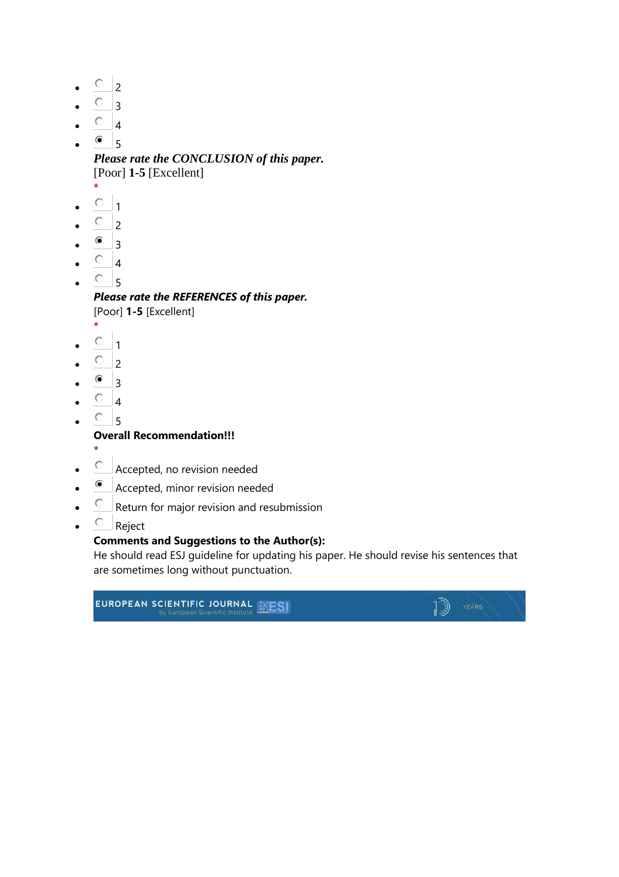- $\circ$  2
- $^{\circ}$  3
- $\circ$  4
- $^{\circ}$  5

*Please rate the CONCLUSION of this paper.* [Poor] **1-5** [Excellent]

- **\***
- $\circ$  1
- $\overline{O}$  2
- $^{\circ}$  3
- $O_{4}$
- $\circ$  5

*Please rate the REFERENCES of this paper.*

[Poor] **1-5** [Excellent]

- **\***  $\circ$  1
- $\overline{O}$  2
- 
- $^{\circ}$  3
- $\circ$  4
- $^{\circ}$  5

**Overall Recommendation!!!**

- **\***
- Accepted, no revision needed
- Accepted, minor revision needed
- $\overline{C}$  Return for major revision and resubmission
- $\circ$  Reject

#### **Comments and Suggestions to the Author(s):**

He should read ESJ guideline for updating his paper. He should revise his sentences that are sometimes long without punctuation.

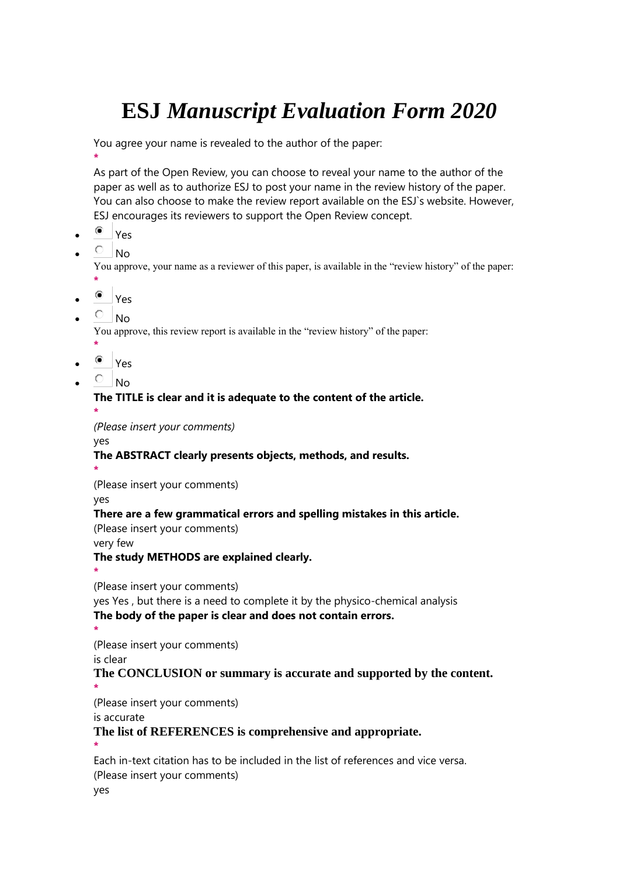# **ESJ** *Manuscript Evaluation Form 2020*

You agree your name is revealed to the author of the paper:

**\*** As part of the Open Review, you can choose to reveal your name to the author of the paper as well as to authorize ESJ to post your name in the review history of the paper. You can also choose to make the review report available on the ESJ`s website. However, ESJ encourages its reviewers to support the Open Review concept.

- Yes
- $\overline{O}$  No

You approve, your name as a reviewer of this paper, is available in the "review history" of the paper: **\***

- Yes
- $\overline{O}$  No

You approve, this review report is available in the "review history" of the paper:

- **\***
- Yes
- $\overline{\circ}$  No

#### **The TITLE is clear and it is adequate to the content of the article.**

**\*** *(Please insert your comments)*

yes

#### **The ABSTRACT clearly presents objects, methods, and results.**

**\*** (Please insert your comments)

yes

#### **There are a few grammatical errors and spelling mistakes in this article.**

(Please insert your comments)

very few

#### **The study METHODS are explained clearly.**

**\***

(Please insert your comments)

yes Yes , but there is a need to complete it by the physico-chemical analysis **The body of the paper is clear and does not contain errors.**

**\***

(Please insert your comments)

is clear

#### **The CONCLUSION or summary is accurate and supported by the content. \***

(Please insert your comments)

is accurate

#### **The list of REFERENCES is comprehensive and appropriate.**

**\***

Each in-text citation has to be included in the list of references and vice versa. (Please insert your comments)

yes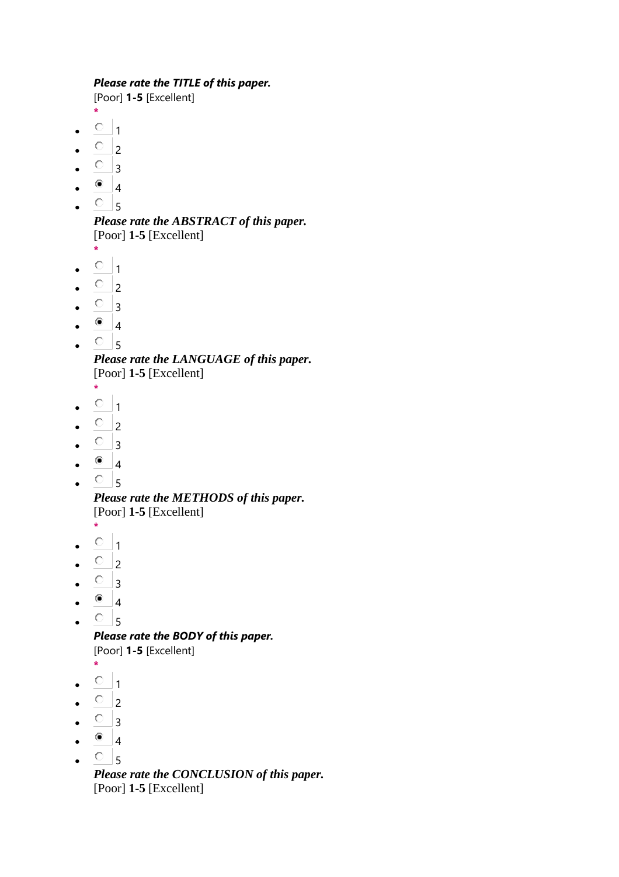#### *Please rate the TITLE of this paper.*

[Poor] **1-5** [Excellent]

- **\***
- $\circ$  1
- $\circ$  2
- $\circ$  3
- $^{\circ}$  4
- $\cdot$   $\circ$  5

*Please rate the ABSTRACT of this paper.* [Poor] **1-5** [Excellent]

- **\***  $\circ$  1
- $\overline{O}$  2
- $\circ$  3
- 
- $^{\circ}$  4
- $\cdot$   $\circ$  5

*Please rate the LANGUAGE of this paper.* [Poor] **1-5** [Excellent]

- **\***
- $\cdot$   $\circ$   $\cdot$  1
- $\overline{O}$  2
- $\circ$  3
- $^{\circ}$  4
- $\cdot$   $\circ$   $\cdot$  5

*Please rate the METHODS of this paper.* [Poor] **1-5** [Excellent]

- **\***  $\circ$  1
- $\overline{O}$  2
- 
- $\circ$  3
- $\bullet$  4
- $^{\circ}$  5

*Please rate the BODY of this paper.*

[Poor] **1-5** [Excellent]

- **\***
- $\cdot$   $\circ$   $\cdot$  1
- $\overline{O}$  2
- $\circ$  3
- $\bullet$  4
- $\circ$  5

*Please rate the CONCLUSION of this paper.* [Poor] **1-5** [Excellent]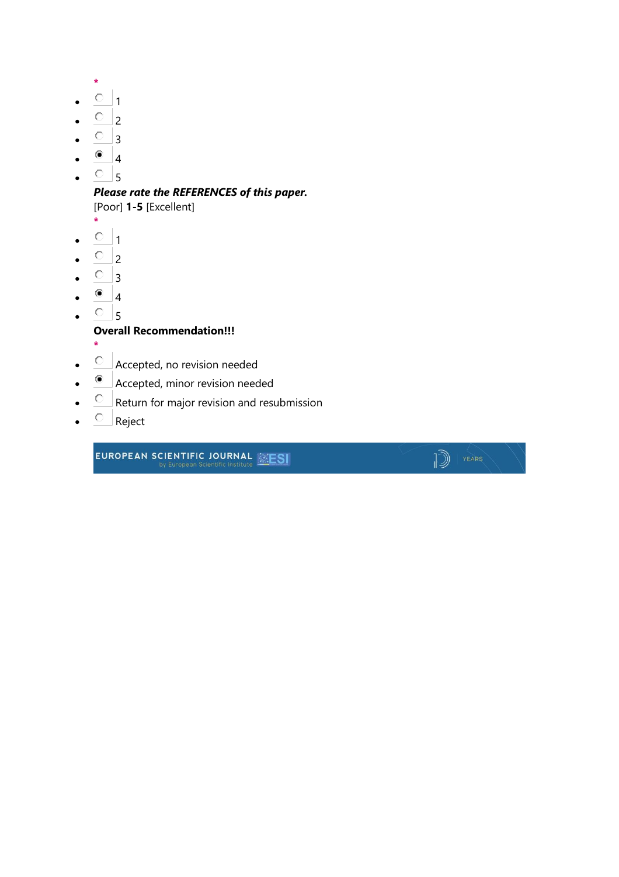- **\***
- $^{\circ}$  1
- $\overline{O}$  2
- $\circ$  3
- $^{\circ}$  4
- $\circ$  5

## *Please rate the REFERENCES of this paper.*

[Poor] **1-5** [Excellent]

- **\***
- $\cdot$   $\circ$   $\cdot$  1
- $\overline{O}$  2
- $\circ$  3
- $^{\circ}$  4
- $^{\circ}$  5

### **Overall Recommendation!!!**

- **\***
- $\bullet$   $\quad$  Accepted, no revision needed
- Accepted, minor revision needed
- $\overline{C}$  Return for major revision and resubmission
- $\bullet$   $\qquad$  Reject

**EUROPEAN SCIENTIFIC JOURNAL EXESI** 

 $\sqrt{2}$   $\sqrt{2}$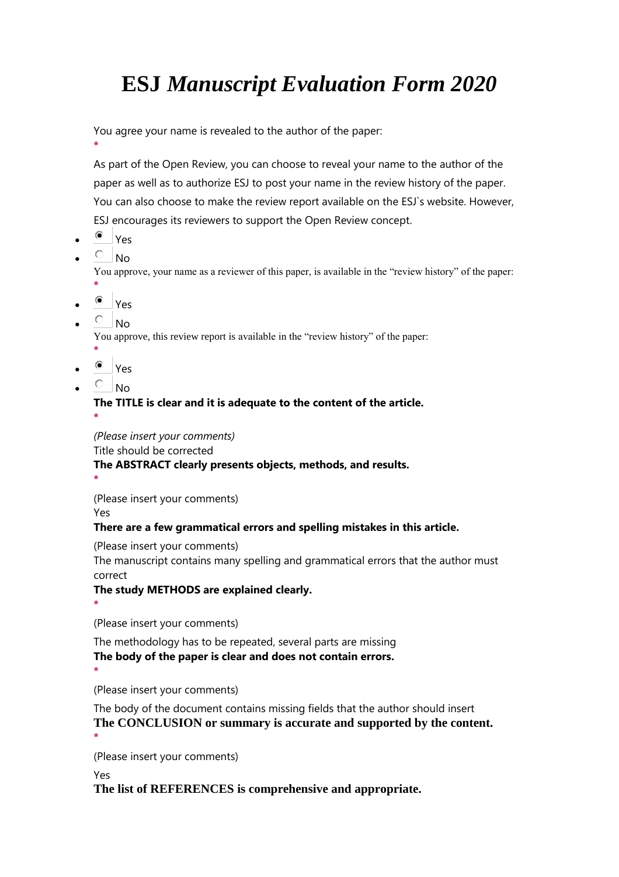## **ESJ** *Manuscript Evaluation Form 2020*

You agree your name is revealed to the author of the paper:

As part of the Open Review, you can choose to reveal your name to the author of the paper as well as to authorize ESJ to post your name in the review history of the paper. You can also choose to make the review report available on the ESJ`s website. However, ESJ encourages its reviewers to support the Open Review concept.

<sup>●</sup> Yes

**\***

 $\overline{O}$  No.

You approve, your name as a reviewer of this paper, is available in the "review history" of the paper:

- **\*** <sup>■</sup> Yes
- $\overline{O}$  No

You approve, this review report is available in the "review history" of the paper:

- **\***
- Yes
- $\overline{\circ}$  No

#### **The TITLE is clear and it is adequate to the content of the article. \***

*(Please insert your comments)*

Title should be corrected

## **The ABSTRACT clearly presents objects, methods, and results.**

**\***

(Please insert your comments)

Yes

## **There are a few grammatical errors and spelling mistakes in this article.**

(Please insert your comments)

The manuscript contains many spelling and grammatical errors that the author must correct

## **The study METHODS are explained clearly.**

**\***

**\***

(Please insert your comments)

The methodology has to be repeated, several parts are missing **The body of the paper is clear and does not contain errors.**

(Please insert your comments)

The body of the document contains missing fields that the author should insert **The CONCLUSION or summary is accurate and supported by the content. \***

(Please insert your comments)

Yes

**The list of REFERENCES is comprehensive and appropriate.**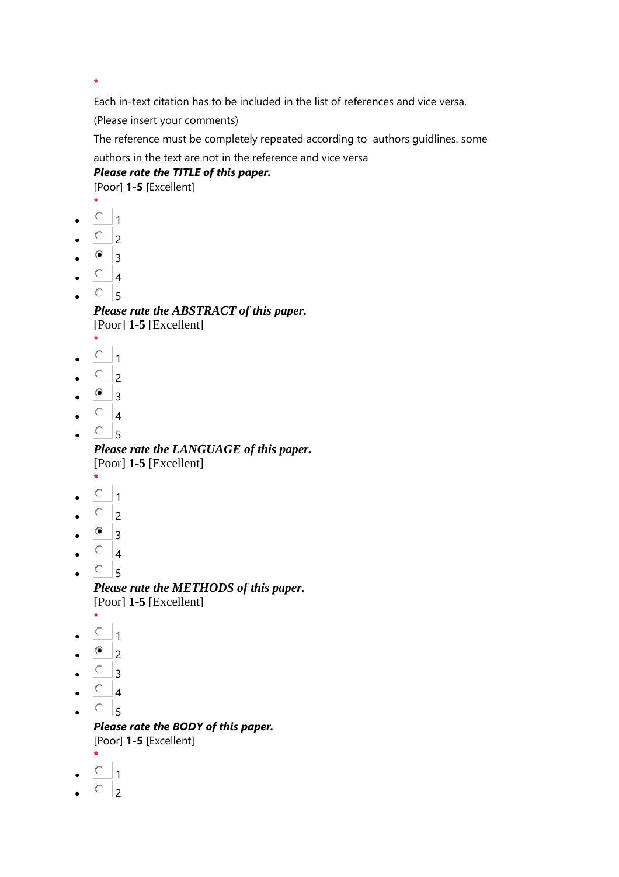**\***

Each in-text citation has to be included in the list of references and vice versa.

(Please insert your comments)

The reference must be completely repeated according to authors guidlines. some

authors in the text are not in the reference and vice versa

## *Please rate the TITLE of this paper.*

[Poor] **1-5** [Excellent]

- **\***
- $\circ$  1
- $\overline{O}$  2
- $\bullet$  3
- $\circ$  4
- $\circ$ <sub>5</sub>

*Please rate the ABSTRACT of this paper.* [Poor] **1-5** [Excellent]

- **\***
- $\circ$  1
- $\circ$  2
- $\bullet$  3
- $\circ$  4
- $^{\circ}$  5

*Please rate the LANGUAGE of this paper.* [Poor] **1-5** [Excellent]

- **\***
- $\circ$  1
- $\overline{O}$  2
- $^{\circ}$  3
- $\circ$  4
- $\circ$ <sub>5</sub>

*Please rate the METHODS of this paper.* [Poor] **1-5** [Excellent]

- **\***  $\circ$ <sub>1</sub>
- 
- $\bullet$  2
- $\circ$  3
- $\circ$  4
- $\circ$  5

*Please rate the BODY of this paper.* [Poor] **1-5** [Excellent]

- **\***
- $\circ$  1
- $\circ$  2